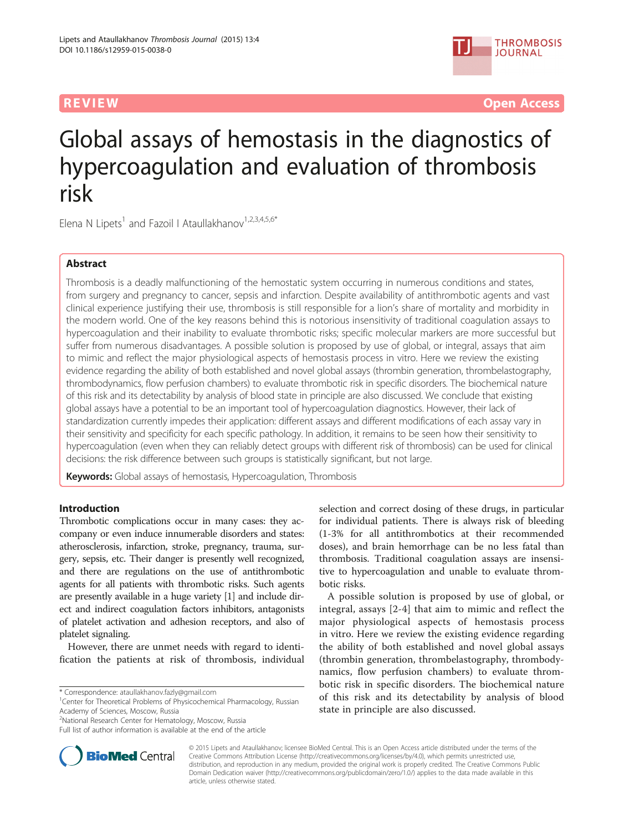

**REVIEW CONTROL** CONTROL CONTROL CONTROL CONTROL CONTROL CONTROL CONTROL CONTROL CONTROL CONTROL CONTROL CONTROL CONTROL CONTROL CONTROL CONTROL CONTROL CONTROL CONTROL CONTROL CONTROL CONTROL CONTROL CONTROL CONTROL CONTR

# Global assays of hemostasis in the diagnostics of hypercoagulation and evaluation of thrombosis risk

Elena N Lipets<sup>1</sup> and Fazoil I Ataullakhanov<sup>1,2,3,4,5,6\*</sup>

# Abstract

Thrombosis is a deadly malfunctioning of the hemostatic system occurring in numerous conditions and states, from surgery and pregnancy to cancer, sepsis and infarction. Despite availability of antithrombotic agents and vast clinical experience justifying their use, thrombosis is still responsible for a lion's share of mortality and morbidity in the modern world. One of the key reasons behind this is notorious insensitivity of traditional coagulation assays to hypercoagulation and their inability to evaluate thrombotic risks; specific molecular markers are more successful but suffer from numerous disadvantages. A possible solution is proposed by use of global, or integral, assays that aim to mimic and reflect the major physiological aspects of hemostasis process in vitro. Here we review the existing evidence regarding the ability of both established and novel global assays (thrombin generation, thrombelastography, thrombodynamics, flow perfusion chambers) to evaluate thrombotic risk in specific disorders. The biochemical nature of this risk and its detectability by analysis of blood state in principle are also discussed. We conclude that existing global assays have a potential to be an important tool of hypercoagulation diagnostics. However, their lack of standardization currently impedes their application: different assays and different modifications of each assay vary in their sensitivity and specificity for each specific pathology. In addition, it remains to be seen how their sensitivity to hypercoagulation (even when they can reliably detect groups with different risk of thrombosis) can be used for clinical decisions: the risk difference between such groups is statistically significant, but not large.

Keywords: Global assays of hemostasis, Hypercoagulation, Thrombosis

# Introduction

Thrombotic complications occur in many cases: they accompany or even induce innumerable disorders and states: atherosclerosis, infarction, stroke, pregnancy, trauma, surgery, sepsis, etc. Their danger is presently well recognized, and there are regulations on the use of antithrombotic agents for all patients with thrombotic risks. Such agents are presently available in a huge variety [\[1\]](#page-12-0) and include direct and indirect coagulation factors inhibitors, antagonists of platelet activation and adhesion receptors, and also of platelet signaling.

However, there are unmet needs with regard to identification the patients at risk of thrombosis, individual

\* Correspondence: [ataullakhanov.fazly@gmail.com](mailto:ataullakhanov.fazly@gmail.com) <sup>1</sup>

2 National Research Center for Hematology, Moscow, Russia

Full list of author information is available at the end of the article

selection and correct dosing of these drugs, in particular for individual patients. There is always risk of bleeding (1-3% for all antithrombotics at their recommended doses), and brain hemorrhage can be no less fatal than thrombosis. Traditional coagulation assays are insensitive to hypercoagulation and unable to evaluate thrombotic risks.

A possible solution is proposed by use of global, or integral, assays [[2](#page-12-0)-[4](#page-12-0)] that aim to mimic and reflect the major physiological aspects of hemostasis process in vitro. Here we review the existing evidence regarding the ability of both established and novel global assays (thrombin generation, thrombelastography, thrombodynamics, flow perfusion chambers) to evaluate thrombotic risk in specific disorders. The biochemical nature of this risk and its detectability by analysis of blood state in principle are also discussed.



© 2015 Lipets and Ataullakhanov; licensee BioMed Central. This is an Open Access article distributed under the terms of the Creative Commons Attribution License (<http://creativecommons.org/licenses/by/4.0>), which permits unrestricted use, distribution, and reproduction in any medium, provided the original work is properly credited. The Creative Commons Public Domain Dedication waiver [\(http://creativecommons.org/publicdomain/zero/1.0/\)](http://creativecommons.org/publicdomain/zero/1.0/) applies to the data made available in this article, unless otherwise stated.

<sup>&</sup>lt;sup>1</sup>Center for Theoretical Problems of Physicochemical Pharmacology, Russian Academy of Sciences, Moscow, Russia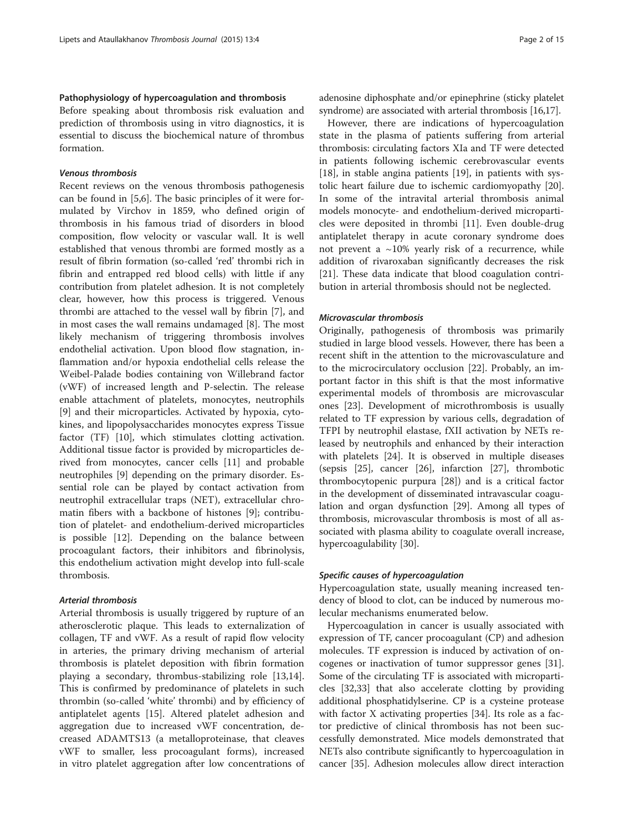#### Pathophysiology of hypercoagulation and thrombosis

Before speaking about thrombosis risk evaluation and prediction of thrombosis using in vitro diagnostics, it is essential to discuss the biochemical nature of thrombus formation.

#### Venous thrombosis

Recent reviews on the venous thrombosis pathogenesis can be found in [[5,6\]](#page-12-0). The basic principles of it were formulated by Virchov in 1859, who defined origin of thrombosis in his famous triad of disorders in blood composition, flow velocity or vascular wall. It is well established that venous thrombi are formed mostly as a result of fibrin formation (so-called 'red' thrombi rich in fibrin and entrapped red blood cells) with little if any contribution from platelet adhesion. It is not completely clear, however, how this process is triggered. Venous thrombi are attached to the vessel wall by fibrin [\[7\]](#page-12-0), and in most cases the wall remains undamaged [\[8\]](#page-12-0). The most likely mechanism of triggering thrombosis involves endothelial activation. Upon blood flow stagnation, inflammation and/or hypoxia endothelial cells release the Weibel-Palade bodies containing von Willebrand factor (vWF) of increased length and P-selectin. The release enable attachment of platelets, monocytes, neutrophils [[9\]](#page-12-0) and their microparticles. Activated by hypoxia, cytokines, and lipopolysaccharides monocytes express Tissue factor (TF) [\[10](#page-12-0)], which stimulates clotting activation. Additional tissue factor is provided by microparticles derived from monocytes, cancer cells [[11](#page-12-0)] and probable neutrophiles [\[9](#page-12-0)] depending on the primary disorder. Essential role can be played by contact activation from neutrophil extracellular traps (NET), extracellular chromatin fibers with a backbone of histones [[9\]](#page-12-0); contribution of platelet- and endothelium-derived microparticles is possible [\[12](#page-12-0)]. Depending on the balance between procoagulant factors, their inhibitors and fibrinolysis, this endothelium activation might develop into full-scale thrombosis.

#### Arterial thrombosis

Arterial thrombosis is usually triggered by rupture of an atherosclerotic plaque. This leads to externalization of collagen, TF and vWF. As a result of rapid flow velocity in arteries, the primary driving mechanism of arterial thrombosis is platelet deposition with fibrin formation playing a secondary, thrombus-stabilizing role [\[13,14](#page-12-0)]. This is confirmed by predominance of platelets in such thrombin (so-called 'white' thrombi) and by efficiency of antiplatelet agents [\[15\]](#page-12-0). Altered platelet adhesion and aggregation due to increased vWF concentration, decreased ADAMTS13 (a metalloproteinase, that cleaves vWF to smaller, less procoagulant forms), increased in vitro platelet aggregation after low concentrations of

adenosine diphosphate and/or epinephrine (sticky platelet syndrome) are associated with arterial thrombosis [\[16,17](#page-12-0)].

However, there are indications of hypercoagulation state in the plasma of patients suffering from arterial thrombosis: circulating factors XIa and TF were detected in patients following ischemic cerebrovascular events [[18\]](#page-12-0), in stable angina patients [\[19\]](#page-12-0), in patients with systolic heart failure due to ischemic cardiomyopathy [\[20](#page-12-0)]. In some of the intravital arterial thrombosis animal models monocyte- and endothelium-derived microparticles were deposited in thrombi [[11\]](#page-12-0). Even double-drug antiplatelet therapy in acute coronary syndrome does not prevent a  $\sim$ 10% yearly risk of a recurrence, while addition of rivaroxaban significantly decreases the risk [[21\]](#page-12-0). These data indicate that blood coagulation contribution in arterial thrombosis should not be neglected.

#### Microvascular thrombosis

Originally, pathogenesis of thrombosis was primarily studied in large blood vessels. However, there has been a recent shift in the attention to the microvasculature and to the microcirculatory occlusion [\[22\]](#page-12-0). Probably, an important factor in this shift is that the most informative experimental models of thrombosis are microvascular ones [[23](#page-12-0)]. Development of microthrombosis is usually related to TF expression by various cells, degradation of TFPI by neutrophil elastase, fXII activation by NETs released by neutrophils and enhanced by their interaction with platelets [[24](#page-12-0)]. It is observed in multiple diseases (sepsis [\[25](#page-12-0)], cancer [[26](#page-12-0)], infarction [[27\]](#page-12-0), thrombotic thrombocytopenic purpura [[28\]](#page-12-0)) and is a critical factor in the development of disseminated intravascular coagulation and organ dysfunction [[29\]](#page-12-0). Among all types of thrombosis, microvascular thrombosis is most of all associated with plasma ability to coagulate overall increase, hypercoagulability [\[30\]](#page-12-0).

#### Specific causes of hypercoagulation

Hypercoagulation state, usually meaning increased tendency of blood to clot, can be induced by numerous molecular mechanisms enumerated below.

Hypercoagulation in cancer is usually associated with expression of TF, cancer procoagulant (CP) and adhesion molecules. TF expression is induced by activation of oncogenes or inactivation of tumor suppressor genes [\[31](#page-12-0)]. Some of the circulating TF is associated with microparticles [[32](#page-12-0),[33](#page-12-0)] that also accelerate clotting by providing additional phosphatidylserine. CP is a cysteine protease with factor X activating properties [\[34\]](#page-12-0). Its role as a factor predictive of clinical thrombosis has not been successfully demonstrated. Mice models demonstrated that NETs also contribute significantly to hypercoagulation in cancer [\[35\]](#page-12-0). Adhesion molecules allow direct interaction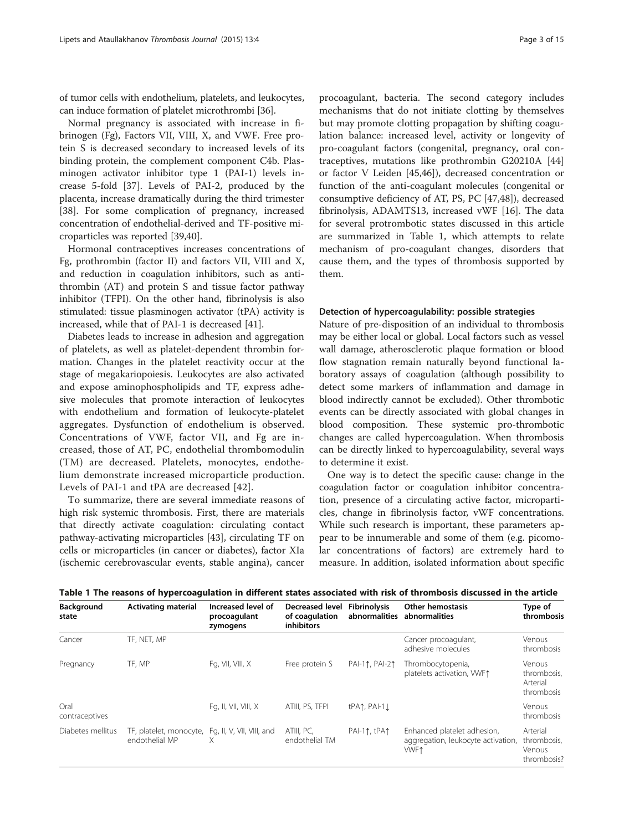of tumor cells with endothelium, platelets, and leukocytes, can induce formation of platelet microthrombi [[36](#page-12-0)].

Normal pregnancy is associated with increase in fibrinogen (Fg), Factors VII, VIII, X, and VWF. Free protein S is decreased secondary to increased levels of its binding protein, the complement component C4b. Plasminogen activator inhibitor type 1 (PAI-1) levels increase 5-fold [[37\]](#page-12-0). Levels of PAI-2, produced by the placenta, increase dramatically during the third trimester [[38\]](#page-12-0). For some complication of pregnancy, increased concentration of endothelial-derived and TF-positive microparticles was reported [\[39,40\]](#page-12-0).

Hormonal contraceptives increases concentrations of Fg, prothrombin (factor II) and factors VII, VIII and X, and reduction in coagulation inhibitors, such as antithrombin (AT) and protein S and tissue factor pathway inhibitor (TFPI). On the other hand, fibrinolysis is also stimulated: tissue plasminogen activator (tPA) activity is increased, while that of PAI-1 is decreased [[41\]](#page-12-0).

Diabetes leads to increase in adhesion and aggregation of platelets, as well as platelet-dependent thrombin formation. Changes in the platelet reactivity occur at the stage of megakariopoiesis. Leukocytes are also activated and expose aminophospholipids and TF, express adhesive molecules that promote interaction of leukocytes with endothelium and formation of leukocyte-platelet aggregates. Dysfunction of endothelium is observed. Concentrations of VWF, factor VII, and Fg are increased, those of AT, PC, endothelial thrombomodulin (TM) are decreased. Platelets, monocytes, endothelium demonstrate increased microparticle production. Levels of PAI-1 and tPA are decreased [\[42](#page-12-0)].

To summarize, there are several immediate reasons of high risk systemic thrombosis. First, there are materials that directly activate coagulation: circulating contact pathway-activating microparticles [[43\]](#page-12-0), circulating TF on cells or microparticles (in cancer or diabetes), factor XIa (ischemic cerebrovascular events, stable angina), сancer

procoagulant, bacteria. The second category includes mechanisms that do not initiate clotting by themselves but may promote clotting propagation by shifting coagulation balance: increased level, activity or longevity of pro-coagulant factors (congenital, pregnancy, oral contraceptives, mutations like prothrombin G20210A [[44](#page-12-0)] or factor V Leiden [[45](#page-12-0),[46](#page-12-0)]), decreased concentration or function of the anti-coagulant molecules (congenital or consumptive deficiency of AT, PS, PC [\[47](#page-12-0)[,48](#page-13-0)]), decreased fibrinolysis, ADAMTS13, increased vWF [\[16\]](#page-12-0). The data for several protrombotic states discussed in this article are summarized in Table 1, which attempts to relate mechanism of pro-coagulant changes, disorders that cause them, and the types of thrombosis supported by them.

#### Detection of hypercoagulability: possible strategies

Nature of pre-disposition of an individual to thrombosis may be either local or global. Local factors such as vessel wall damage, atherosclerotic plaque formation or blood flow stagnation remain naturally beyond functional laboratory assays of coagulation (although possibility to detect some markers of inflammation and damage in blood indirectly cannot be excluded). Other thrombotic events can be directly associated with global changes in blood composition. These systemic pro-thrombotic changes are called hypercoagulation. When thrombosis can be directly linked to hypercoagulability, several ways to determine it exist.

One way is to detect the specific cause: change in the coagulation factor or coagulation inhibitor concentration, presence of a circulating active factor, microparticles, change in fibrinolysis factor, vWF concentrations. While such research is important, these parameters appear to be innumerable and some of them (e.g. picomolar concentrations of factors) are extremely hard to measure. In addition, isolated information about specific

|  |  | Table 1 The reasons of hypercoagulation in different states associated with risk of thrombosis discussed in the article |  |  |  |
|--|--|-------------------------------------------------------------------------------------------------------------------------|--|--|--|
|--|--|-------------------------------------------------------------------------------------------------------------------------|--|--|--|

| <b>Background</b><br>state | <b>Activating material</b>                                          | Increased level of<br>procoagulant<br>zymogens | <b>Decreased level</b><br>of coagulation<br><b>inhibitors</b> | <b>Fibrinolysis</b><br>abnormalities | <b>Other hemostasis</b><br>abnormalities                                              | Type of<br>thrombosis                            |
|----------------------------|---------------------------------------------------------------------|------------------------------------------------|---------------------------------------------------------------|--------------------------------------|---------------------------------------------------------------------------------------|--------------------------------------------------|
| Cancer                     | TF, NET, MP                                                         |                                                |                                                               |                                      | Cancer procoagulant,<br>adhesive molecules                                            | Venous<br>thrombosis                             |
| Pregnancy                  | TF, MP                                                              | Fq, VII, VIII, X                               | Free protein S                                                | PAI-11, PAI-21                       | Thrombocytopenia,<br>platelets activation, VWF1                                       | Venous<br>thrombosis,<br>Arterial<br>thrombosis  |
| Oral<br>contraceptives     |                                                                     | Fq, II, VII, VIII, X                           | ATIII, PS, TFPI                                               | tPA1, PAI-11                         |                                                                                       | <b>Venous</b><br>thrombosis                      |
| Diabetes mellitus          | TF, platelet, monocyte, Fg, II, V, VII, VIII, and<br>endothelial MP | X                                              | ATIII, PC,<br>endothelial TM                                  | $PAI-1†$ , tPA $\uparrow$            | Enhanced platelet adhesion,<br>aggregation, leukocyte activation,<br>WVF <sup>1</sup> | Arterial<br>thrombosis,<br>Venous<br>thrombosis? |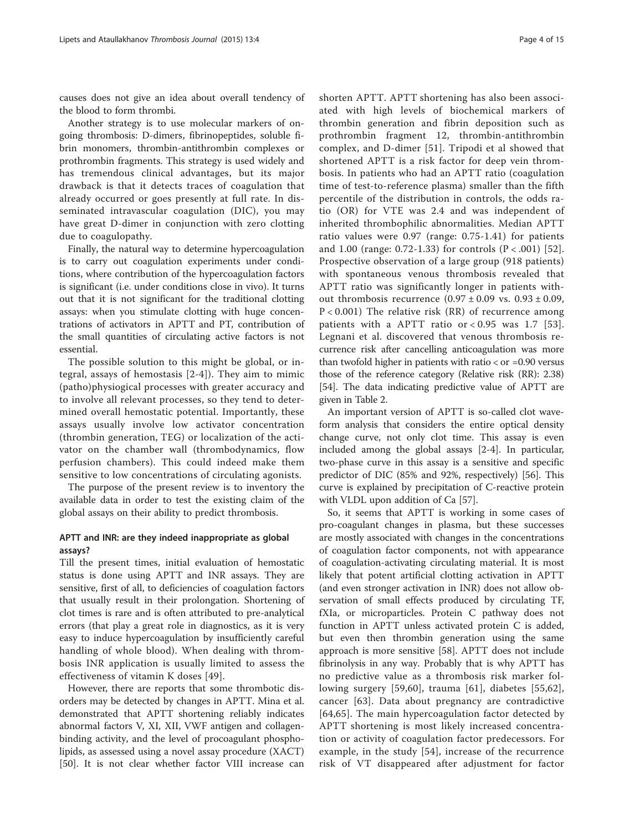causes does not give an idea about overall tendency of the blood to form thrombi.

Another strategy is to use molecular markers of ongoing thrombosis: D-dimers, fibrinopeptides, soluble fibrin monomers, thrombin-antithrombin complexes or prothrombin fragments. This strategy is used widely and has tremendous clinical advantages, but its major drawback is that it detects traces of coagulation that already occurred or goes presently at full rate. In disseminated intravascular coagulation (DIC), you may have great D-dimer in conjunction with zero clotting due to coagulopathy.

Finally, the natural way to determine hypercoagulation is to carry out coagulation experiments under conditions, where contribution of the hypercoagulation factors is significant (i.e. under conditions close in vivo). It turns out that it is not significant for the traditional clotting assays: when you stimulate clotting with huge concentrations of activators in APTT and PT, contribution of the small quantities of circulating active factors is not essential.

The possible solution to this might be global, or integral, assays of hemostasis [[2](#page-12-0)-[4](#page-12-0)]). They aim to mimic (patho)physiogical processes with greater accuracy and to involve all relevant processes, so they tend to determined overall hemostatic potential. Importantly, these assays usually involve low activator concentration (thrombin generation, TEG) or localization of the activator on the chamber wall (thrombodynamics, flow perfusion chambers). This could indeed make them sensitive to low concentrations of circulating agonists.

The purpose of the present review is to inventory the available data in order to test the existing claim of the global assays on their ability to predict thrombosis.

## APTT and INR: are they indeed inappropriate as global assays?

Till the present times, initial evaluation of hemostatic status is done using APTT and INR assays. They are sensitive, first of all, to deficiencies of coagulation factors that usually result in their prolongation. Shortening of clot times is rare and is often attributed to pre-analytical errors (that play a great role in diagnostics, as it is very easy to induce hypercoagulation by insufficiently careful handling of whole blood). When dealing with thrombosis INR application is usually limited to assess the effectiveness of vitamin K doses [[49](#page-13-0)].

However, there are reports that some thrombotic disorders may be detected by changes in APTT. Mina et al. demonstrated that APTT shortening reliably indicates abnormal factors V, XI, XII, VWF antigen and collagenbinding activity, and the level of procoagulant phospholipids, as assessed using a novel assay procedure (XACT) [[50\]](#page-13-0). It is not clear whether factor VIII increase can

shorten APTT. APTT shortening has also been associated with high levels of biochemical markers of thrombin generation and fibrin deposition such as prothrombin fragment 12, thrombin-antithrombin complex, and D-dimer [[51](#page-13-0)]. Tripodi et al showed that shortened APTT is a risk factor for deep vein thrombosis. In patients who had an APTT ratio (coagulation time of test-to-reference plasma) smaller than the fifth percentile of the distribution in controls, the odds ratio (OR) for VTE was 2.4 and was independent of inherited thrombophilic abnormalities. Median APTT ratio values were 0.97 (range: 0.75-1.41) for patients and 1.00 (range: 0.72-1.33) for controls  $(P < .001)$  [[52](#page-13-0)]. Prospective observation of a large group (918 patients) with spontaneous venous thrombosis revealed that APTT ratio was significantly longer in patients without thrombosis recurrence  $(0.97 \pm 0.09 \text{ vs. } 0.93 \pm 0.09,$  $P < 0.001$ ) The relative risk (RR) of recurrence among patients with a APTT ratio or <  $0.95$  was 1.7 [[53](#page-13-0)]. Legnani et al. discovered that venous thrombosis recurrence risk after cancelling anticoagulation was more than twofold higher in patients with ratio  $\langle$  or =0.90 versus those of the reference category (Relative risk (RR): 2.38) [[54](#page-13-0)]. The data indicating predictive value of APTT are given in Table [2](#page-4-0).

An important version of APTT is so-called clot waveform analysis that considers the entire optical density change curve, not only clot time. This assay is even included among the global assays [[2-4\]](#page-12-0). In particular, two-phase curve in this assay is a sensitive and specific predictor of DIC (85% and 92%, respectively) [[56](#page-13-0)]. This curve is explained by precipitation of C-reactive protein with VLDL upon addition of Ca [\[57](#page-13-0)].

So, it seems that APTT is working in some cases of pro-coagulant changes in plasma, but these successes are mostly associated with changes in the concentrations of coagulation factor components, not with appearance of coagulation-activating circulating material. It is most likely that potent artificial clotting activation in APTT (and even stronger activation in INR) does not allow observation of small effects produced by circulating TF, fXIa, or microparticles. Protein C pathway does not function in APTT unless activated protein C is added, but even then thrombin generation using the same approach is more sensitive [[58\]](#page-13-0). APTT does not include fibrinolysis in any way. Probably that is why APTT has no predictive value as a thrombosis risk marker following surgery [[59,60](#page-13-0)], trauma [[61\]](#page-13-0), diabetes [\[55,62](#page-13-0)], cancer [[63](#page-13-0)]. Data about pregnancy are contradictive [[64](#page-13-0),[65\]](#page-13-0). The main hypercoagulation factor detected by APTT shortening is most likely increased concentration or activity of coagulation factor predecessors. For example, in the study [\[54\]](#page-13-0), increase of the recurrence risk of VT disappeared after adjustment for factor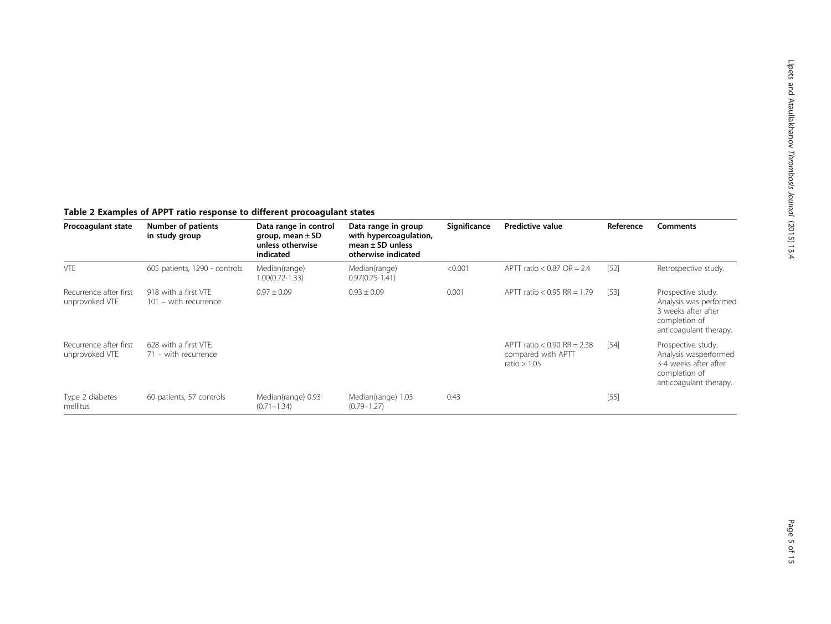# <span id="page-4-0"></span>Table 2 Examples of АPPT ratio response to different procoagulant states

| Procoagulant state                       | <b>Number of patients</b><br>in study group   | Data range in control<br>group, mean $\pm$ SD<br>unless otherwise<br>indicated | Data range in group<br>with hypercoagulation,<br>mean $\pm$ SD unless<br>otherwise indicated | Significance | <b>Predictive value</b>                                               | Reference | <b>Comments</b>                                                                                                 |
|------------------------------------------|-----------------------------------------------|--------------------------------------------------------------------------------|----------------------------------------------------------------------------------------------|--------------|-----------------------------------------------------------------------|-----------|-----------------------------------------------------------------------------------------------------------------|
| <b>VTF</b>                               | 605 patients, 1290 - controls                 | Median(range)<br>$1.00(0.72 - 1.33)$                                           | Median(range)<br>$0.97(0.75 - 1.41)$                                                         | < 0.001      | APTT ratio $< 0.87$ OR = 2.4                                          | $[52]$    | Retrospective study.                                                                                            |
| Recurrence after first<br>unprovoked VTE | 918 with a first VTF<br>101 - with recurrence | $0.97 + 0.09$                                                                  | $0.93 + 0.09$                                                                                | 0.001        | APTT ratio $< 0.95$ RR = 1.79                                         | $[53]$    | Prospective study.<br>Analysis was performed<br>3 weeks after after<br>completion of<br>anticoagulant therapy.  |
| Recurrence after first<br>unprovoked VTE | 628 with a first VTE,<br>71 - with recurrence |                                                                                |                                                                                              |              | APTT ratio $< 0.90$ RR = 2.38<br>compared with APTT<br>ratio $> 1.05$ | $[54]$    | Prospective study.<br>Analysis wasperformed<br>3-4 weeks after after<br>completion of<br>anticoagulant therapy. |
| Type 2 diabetes<br>mellitus              | 60 patients, 57 controls                      | Median(range) 0.93<br>$(0.71 - 1.34)$                                          | Median(range) 1.03<br>$(0.79 - 1.27)$                                                        | 0.43         |                                                                       | $[55]$    |                                                                                                                 |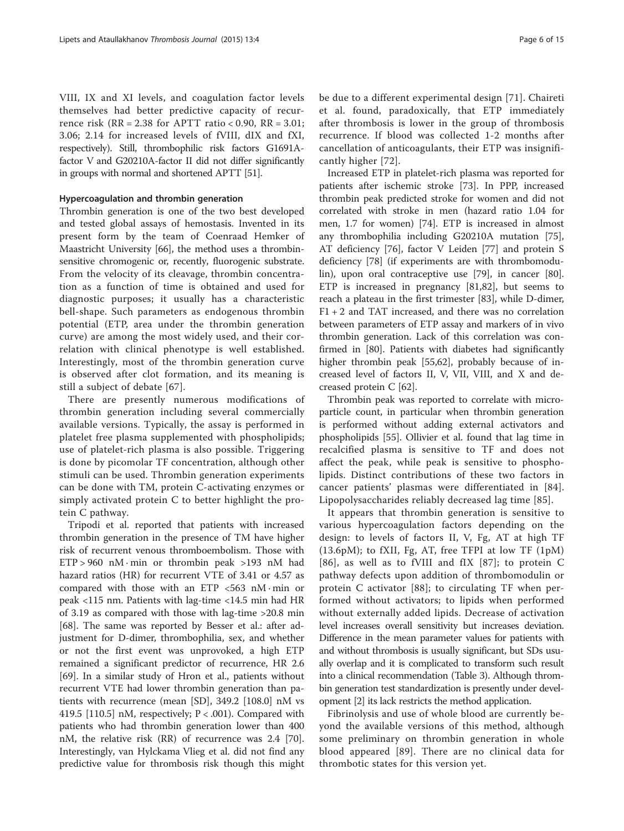VIII, IX and XI levels, and coagulation factor levels themselves had better predictive capacity of recurrence risk ( $RR = 2.38$  for APTT ratio < 0.90,  $RR = 3.01$ ; 3.06; 2.14 for increased levels of fVIII, dIX and fXI, respectively). Still, thrombophilic risk factors G1691Afactor V and G20210A-factor II did not differ significantly in groups with normal and shortened APTT [\[51](#page-13-0)].

#### Hypercoagulation and thrombin generation

Thrombin generation is one of the two best developed and tested global assays of hemostasis. Invented in its present form by the team of Coenraad Hemker of Maastricht University [\[66\]](#page-13-0), the method uses a thrombinsensitive chromogenic or, recently, fluorogenic substrate. From the velocity of its cleavage, thrombin concentration as a function of time is obtained and used for diagnostic purposes; it usually has a characteristic bell-shape. Such parameters as endogenous thrombin potential (ETP, area under the thrombin generation curve) are among the most widely used, and their correlation with clinical phenotype is well established. Interestingly, most of the thrombin generation curve is observed after clot formation, and its meaning is still a subject of debate [\[67](#page-13-0)].

There are presently numerous modifications of thrombin generation including several commercially available versions. Typically, the assay is performed in platelet free plasma supplemented with phospholipids; use of platelet-rich plasma is also possible. Triggering is done by picomolar TF concentration, although other stimuli can be used. Thrombin generation experiments can be done with TM, protein C-activating enzymes or simply activated protein C to better highlight the protein C pathway.

Tripodi et al. reported that patients with increased thrombin generation in the presence of TM have higher risk of recurrent venous thromboembolism. Those with  $ETP > 960$  nM $\cdot$ min or thrombin peak >193 nM had hazard ratios (HR) for recurrent VTE of 3.41 or 4.57 as compared with those with an ETP <563 nM $\cdot$ min or peak <115 nm. Patients with lag-time <14.5 min had HR of 3.19 as compared with those with lag-time >20.8 min [[68\]](#page-13-0). The same was reported by Besser et al.: after adjustment for D-dimer, thrombophilia, sex, and whether or not the first event was unprovoked, a high ETP remained a significant predictor of recurrence, HR 2.6 [[69\]](#page-13-0). In a similar study of Hron et al., patients without recurrent VTE had lower thrombin generation than patients with recurrence (mean [SD], 349.2 [108.0] nM vs 419.5 [110.5] nM, respectively;  $P < .001$ ). Compared with patients who had thrombin generation lower than 400 nM, the relative risk (RR) of recurrence was 2.4 [\[70](#page-13-0)]. Interestingly, van Hylckama Vlieg et al. did not find any predictive value for thrombosis risk though this might be due to a different experimental design [[71](#page-13-0)]. Chaireti et al. found, paradoxically, that ETP immediately after thrombosis is lower in the group of thrombosis recurrence. If blood was collected 1-2 months after cancellation of anticoagulants, their ETP was insignificantly higher [[72\]](#page-13-0).

Increased ETP in platelet-rich plasma was reported for patients after ischemic stroke [[73\]](#page-13-0). In PPP, increased thrombin peak predicted stroke for women and did not correlated with stroke in men (hazard ratio 1.04 for men, 1.7 for women) [\[74\]](#page-13-0). ETP is increased in almost any thrombophilia including G20210A mutation [\[75](#page-13-0)], AT deficiency [[76\]](#page-13-0), factor V Leiden [\[77\]](#page-13-0) and protein S deficiency [[78](#page-13-0)] (if experiments are with thrombomodulin), upon oral contraceptive use [[79\]](#page-13-0), in cancer [\[80](#page-13-0)]. ETP is increased in pregnancy [\[81,82\]](#page-13-0), but seems to reach a plateau in the first trimester [\[83](#page-13-0)], while D-dimer, F1 + 2 and TAT increased, and there was no correlation between parameters of ETP assay and markers of in vivo thrombin generation. Lack of this correlation was confirmed in [\[80](#page-13-0)]. Patients with diabetes had significantly higher thrombin peak [[55,62](#page-13-0)], probably because of increased level of factors II, V, VII, VIII, and X and decreased protein C [\[62](#page-13-0)].

Thrombin peak was reported to correlate with microparticle count, in particular when thrombin generation is performed without adding external activators and phospholipids [[55](#page-13-0)]. Ollivier et al. found that lag time in recalcified plasma is sensitive to TF and does not affect the peak, while peak is sensitive to phospholipids. Distinct contributions of these two factors in cancer patients' plasmas were differentiated in [[84](#page-13-0)]. Lipopolysaccharides reliably decreased lag time [[85\]](#page-13-0).

It appears that thrombin generation is sensitive to various hypercoagulation factors depending on the design: to levels of factors II, V, Fg, AT at high TF (13.6рМ); to fXII, Fg, AT, free TFPI at low TF (1pM) [[86](#page-13-0)], as well as to fVIII and fIX [[87](#page-13-0)]; to protein C pathway defects upon addition of thrombomodulin or protein C activator [[88\]](#page-13-0); to circulating TF when performed without activators; to lipids when performed without externally added lipids. Decrease of activation level increases overall sensitivity but increases deviation. Difference in the mean parameter values for patients with and without thrombosis is usually significant, but SDs usually overlap and it is complicated to transform such result into a clinical recommendation (Table [3\)](#page-6-0). Although thrombin generation test standardization is presently under development [[2](#page-12-0)] its lack restricts the method application.

Fibrinolysis and use of whole blood are currently beyond the available versions of this method, although some preliminary on thrombin generation in whole blood appeared [\[89](#page-13-0)]. There are no clinical data for thrombotic states for this version yet.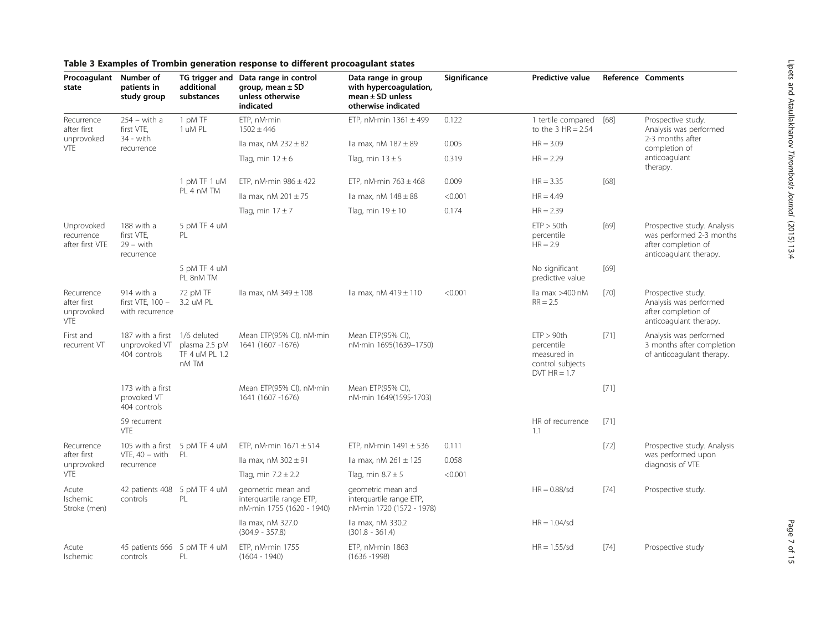| Procoagulant<br>state                          | Number of<br>patients in<br>study group               | additional<br>substances                                | TG trigger and Data range in control<br>group, mean $\pm$ SD<br>unless otherwise<br>indicated | Data range in group<br>with hypercoagulation,<br>mean $\pm$ SD unless<br>otherwise indicated | Significance | Predictive value                                                              |        | Reference Comments                                                                                       |
|------------------------------------------------|-------------------------------------------------------|---------------------------------------------------------|-----------------------------------------------------------------------------------------------|----------------------------------------------------------------------------------------------|--------------|-------------------------------------------------------------------------------|--------|----------------------------------------------------------------------------------------------------------|
| Recurrence<br>after first                      | $254 - with a$<br>first VTE.                          | 1 pM TF<br>1 uM PL                                      | ETP, nM·min<br>$1502 \pm 446$                                                                 | ETP, nM·min $1361 \pm 499$                                                                   | 0.122        | 1 tertile compared<br>to the $3$ HR = $2.54$                                  | [68]   | Prospective study.<br>Analysis was performed                                                             |
| unprovoked<br><b>VTE</b>                       | $34 - with$<br>recurrence                             |                                                         | lla max, nM $232 \pm 82$                                                                      | lla max, nM $187 \pm 89$                                                                     | 0.005        | $HR = 3.09$                                                                   |        | 2-3 months after<br>completion of                                                                        |
|                                                |                                                       |                                                         | Tlag, min $12 \pm 6$                                                                          | Tlag, min $13 \pm 5$                                                                         | 0.319        | $HR = 2.29$                                                                   |        | anticoagulant<br>therapy.                                                                                |
|                                                |                                                       | 1 pM TF 1 uM                                            | ETP, nM $\cdot$ min 986 $\pm$ 422                                                             | ETP, nM·min $763 \pm 468$                                                                    | 0.009        | $HR = 3.35$                                                                   | $[68]$ |                                                                                                          |
|                                                |                                                       | PL 4 nM TM                                              | lla max, nM $201 \pm 75$                                                                      | lla max, nM $148 \pm 88$                                                                     | < 0.001      | $HR = 4.49$                                                                   |        |                                                                                                          |
|                                                |                                                       |                                                         | Tlag, min $17 \pm 7$                                                                          | Tlag, min $19 \pm 10$                                                                        | 0.174        | $HR = 2.39$                                                                   |        |                                                                                                          |
| Unprovoked<br>recurrence<br>after first VTE    | 188 with a<br>first VTE,<br>$29 - with$<br>recurrence | 5 pM TF 4 uM<br>PL                                      |                                                                                               |                                                                                              |              | ETP > 50th<br>percentile<br>$HR = 2.9$                                        | $[69]$ | Prospective study. Analysis<br>was performed 2-3 months<br>after completion of<br>anticoagulant therapy. |
|                                                |                                                       | 5 pM TF 4 uM<br>PL 8nM TM                               |                                                                                               |                                                                                              |              | No significant<br>predictive value                                            | $[69]$ |                                                                                                          |
| Recurrence<br>after first<br>unprovoked<br>VTE | 914 with a<br>first VTE, $100 -$<br>with recurrence   | 72 pM TF<br>3.2 uM PL                                   | lla max, nM 349 ± 108                                                                         | lla max, nM $419 \pm 110$                                                                    | < 0.001      | lla max >400 nM<br>$RR = 2.5$                                                 | $[70]$ | Prospective study.<br>Analysis was performed<br>after completion of<br>anticoagulant therapy.            |
| First and<br>recurrent VT                      | 187 with a first<br>unprovoked VT<br>404 controls     | 1/6 deluted<br>plasma 2.5 pM<br>TF 4 uM PL 1.2<br>nM TM | Mean ETP(95% CI), nM·min<br>1641 (1607 -1676)                                                 | Mean ETP(95% CI),<br>nM·min 1695(1639-1750)                                                  |              | ETP > 90th<br>percentile<br>measured in<br>control subjects<br>$DVT HR = 1.7$ | $[71]$ | Analysis was performed<br>3 months after completion<br>of anticoagulant therapy.                         |
|                                                | 173 with a first<br>provoked VT<br>404 controls       |                                                         | Mean ETP(95% CI), nM·min<br>1641 (1607 -1676)                                                 | Mean ETP(95% CI),<br>nM·min 1649(1595-1703)                                                  |              |                                                                               | $[71]$ |                                                                                                          |
|                                                | 59 recurrent<br><b>VTE</b>                            |                                                         |                                                                                               |                                                                                              |              | HR of recurrence<br>1.1                                                       | $[71]$ |                                                                                                          |
| Recurrence                                     | 105 with a first                                      | 5 pM TF 4 uM                                            | ETP, nM·min $1671 \pm 514$                                                                    | ETP, nM·min $1491 \pm 536$                                                                   | 0.111        |                                                                               | $[72]$ | Prospective study. Analysis                                                                              |
| after first<br>unprovoked                      | $VTE$ , 40 – with<br>recurrence                       | PL                                                      | lla max, nM $302 \pm 91$                                                                      | lla max, nM $261 \pm 125$                                                                    | 0.058        |                                                                               |        | was performed upon<br>diagnosis of VTE                                                                   |
| <b>VTE</b>                                     |                                                       |                                                         | Tlag, min $7.2 \pm 2.2$                                                                       | Tlag, min $8.7 \pm 5$                                                                        | < 0.001      |                                                                               |        |                                                                                                          |
| Acute<br><b>Ischemic</b><br>Stroke (men)       | 42 patients 408<br>controls                           | 5 pM TF 4 uM<br>PL                                      | geometric mean and<br>interquartile range ETP,<br>nM·min 1755 (1620 - 1940)                   | geometric mean and<br>interquartile range ETP,<br>nM·min 1720 (1572 - 1978)                  |              | $HR = 0.88/sd$                                                                | $[74]$ | Prospective study.                                                                                       |
|                                                |                                                       |                                                         | lla max, nM 327.0<br>$(304.9 - 357.8)$                                                        | Ila max, nM 330.2<br>$(301.8 - 361.4)$                                                       |              | $HR = 1.04/sd$                                                                |        |                                                                                                          |
| Acute<br>Ischemic                              | 45 patients 666 5 pM TF 4 uM<br>controls              | PL                                                      | ETP, nM·min 1755<br>$(1604 - 1940)$                                                           | ETP, nM·min 1863<br>$(1636 - 1998)$                                                          |              | $HR = 1.55/sd$                                                                | $[74]$ | Prospective study                                                                                        |

# <span id="page-6-0"></span>Table 3 Examples of Trombin generation response to different procoagulant states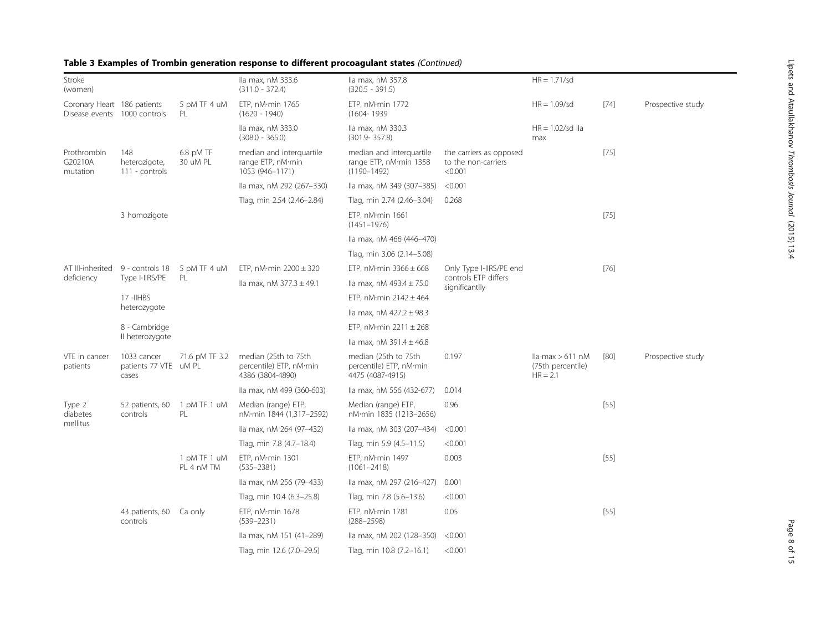# Table 3 Examples of Trombin generation response to different procoagulant states (Continued)

| Stroke<br>(women)                             |                                               |                            | Ila max, nM 333.6<br>$(311.0 - 372.4)$                              | lla max, nM 357.8<br>$(320.5 - 391.5)$                                |                                                           | $HR = 1.71/sd$                                      |        |                   |
|-----------------------------------------------|-----------------------------------------------|----------------------------|---------------------------------------------------------------------|-----------------------------------------------------------------------|-----------------------------------------------------------|-----------------------------------------------------|--------|-------------------|
| Coronary Heart 186 patients<br>Disease events | 1000 controls                                 | 5 pM TF 4 uM<br>PL         | ETP, nM·min 1765<br>$(1620 - 1940)$                                 | ETP, nM·min 1772<br>(1604-1939)                                       |                                                           | $HR = 1.09/sd$                                      | $[74]$ | Prospective study |
|                                               |                                               |                            | Ila max, nM 333.0<br>$(308.0 - 365.0)$                              | Ila max, nM 330.3<br>$(301.9 - 357.8)$                                |                                                           | $HR = 1.02/sd$ lla<br>max                           |        |                   |
| Prothrombin<br>G20210A<br>mutation            | 148<br>heterozigote,<br>111 - controls        | 6.8 pM TF<br>30 uM PL      | median and interquartile<br>range ETP, nM·min<br>1053 (946-1171)    | median and interquartile<br>range ETP, nM·min 1358<br>$(1190 - 1492)$ | the carriers as opposed<br>to the non-carriers<br>< 0.001 |                                                     | $[75]$ |                   |
|                                               |                                               |                            | lla max, nM 292 (267-330)                                           | lla max, nM 349 (307-385)                                             | < 0.001                                                   |                                                     |        |                   |
|                                               |                                               |                            | Tlag, min 2.54 (2.46-2.84)                                          | Tlag, min 2.74 (2.46-3.04)                                            | 0.268                                                     |                                                     |        |                   |
|                                               | 3 homozigote                                  |                            |                                                                     | ETP. $nM·min$ 1661<br>$(1451 - 1976)$                                 |                                                           |                                                     | $[75]$ |                   |
|                                               |                                               |                            |                                                                     | lla max, nM 466 (446-470)                                             |                                                           |                                                     |        |                   |
|                                               |                                               |                            |                                                                     | Tlag, min 3.06 (2.14-5.08)                                            |                                                           |                                                     |        |                   |
| AT III-inherited                              | 9 - controls 18                               | 5 pM TF 4 uM               | ETP, nM $\cdot$ min 2200 $\pm$ 320                                  | ETP, nM·min $3366 \pm 668$                                            | Only Type I-IIRS/PE end                                   |                                                     | $[76]$ |                   |
| deficiency                                    | Type I-IIRS/PE                                | PL                         | lla max, nM $377.3 \pm 49.1$                                        | lla max, nM $493.4 \pm 75.0$                                          | controls ETP differs<br>significantlly                    |                                                     |        |                   |
|                                               | 17-IIHBS<br>heterozygote                      |                            |                                                                     | ETP, nM $\cdot$ min 2142 $\pm$ 464                                    |                                                           |                                                     |        |                   |
|                                               |                                               |                            |                                                                     | lla max, nM 427.2 ± 98.3                                              |                                                           |                                                     |        |                   |
|                                               | 8 - Cambridge                                 |                            |                                                                     | ETP, nM·min $2211 \pm 268$                                            |                                                           |                                                     |        |                   |
|                                               | Il heterozygote                               |                            |                                                                     | lla max, nM 391.4 $\pm$ 46.8                                          |                                                           |                                                     |        |                   |
| VTE in cancer<br>patients                     | 1033 cancer<br>patients 77 VTE uM PL<br>cases | 71.6 pM TF 3.2             | median (25th to 75th<br>percentile) ETP, nM·min<br>4386 (3804-4890) | median (25th to 75th<br>percentile) ETP, nM·min<br>4475 (4087-4915)   | 0.197                                                     | lla max > 611 nM<br>(75th percentile)<br>$HR = 2.1$ | $[80]$ | Prospective study |
|                                               |                                               |                            | lla max, nM 499 (360-603)                                           | lla max, nM 556 (432-677)                                             | 0.014                                                     |                                                     |        |                   |
| Type 2<br>diabetes                            | 52 patients, 60<br>controls                   | 1 pM TF 1 uM<br>PL         | Median (range) ETP,<br>nM·min 1844 (1,317-2592)                     | Median (range) ETP,<br>nM·min 1835 (1213-2656)                        | 0.96                                                      |                                                     | $[55]$ |                   |
| mellitus                                      |                                               |                            | lla max, nM 264 (97-432)                                            | lla max, nM 303 (207-434)                                             | < 0.001                                                   |                                                     |        |                   |
|                                               |                                               |                            | Tlag, min 7.8 (4.7-18.4)                                            | Tlag, min 5.9 (4.5-11.5)                                              | < 0.001                                                   |                                                     |        |                   |
|                                               |                                               | 1 pM TF 1 uM<br>PL 4 nM TM | ETP, $nM·min$ 1301<br>$(535 - 2381)$                                | ETP, nM·min 1497<br>$(1061 - 2418)$                                   | 0.003                                                     |                                                     | $[55]$ |                   |
|                                               |                                               |                            | lla max, nM 256 (79-433)                                            | lla max, nM 297 (216-427)                                             | 0.001                                                     |                                                     |        |                   |
|                                               |                                               |                            | Tlag, min 10.4 (6.3-25.8)                                           | Tlag, min 7.8 (5.6-13.6)                                              | < 0.001                                                   |                                                     |        |                   |
|                                               | 43 patients, 60<br>controls                   | Ca only                    | ETP, nM·min 1678<br>$(539 - 2231)$                                  | ETP, nM·min 1781<br>$(288 - 2598)$                                    | 0.05                                                      | $[55]$                                              |        |                   |
|                                               |                                               |                            | lla max, nM 151 (41-289)                                            | lla max, nM 202 (128-350)                                             | < 0.001                                                   |                                                     |        |                   |
|                                               |                                               |                            | Tlag, min 12.6 (7.0-29.5)                                           | Tlag, min 10.8 (7.2-16.1)                                             | < 0.001                                                   |                                                     |        |                   |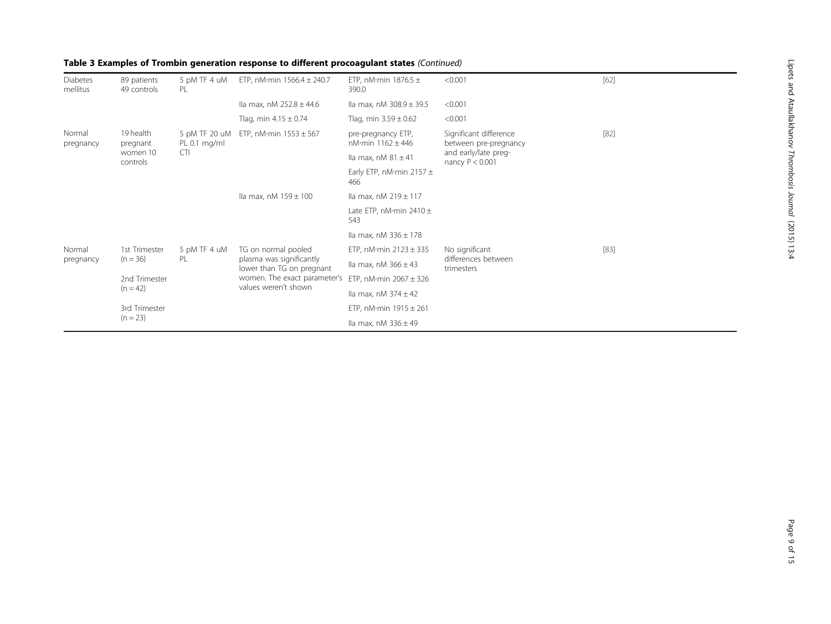| <b>Diabetes</b><br>mellitus | 89 patients<br>49 controls | 5 pM TF 4 uM<br>PL                    | ETP, nM·min $1566.4 \pm 240.7$                                                                                | ETP, nM·min $1876.5 \pm$<br>390.0         | < 0.001                                         | $[62]$ |
|-----------------------------|----------------------------|---------------------------------------|---------------------------------------------------------------------------------------------------------------|-------------------------------------------|-------------------------------------------------|--------|
|                             |                            |                                       | lla max, nM $252.8 \pm 44.6$                                                                                  | lla max, nM $308.9 \pm 39.5$              | < 0.001                                         |        |
|                             |                            |                                       | Tlag, min $4.15 \pm 0.74$                                                                                     | Tlag, min $3.59 \pm 0.62$                 | < 0.001                                         |        |
| Normal<br>pregnancy         | 19 health<br>pregnant      | 5 pM TF 20 uM<br>PL 0.1 mg/ml<br>CTI. | ETP, nM·min $1553 \pm 567$                                                                                    | pre-pregnancy ETP,<br>$nM·min$ 1162 ± 446 | Significant difference<br>between pre-pregnancy | $[82]$ |
|                             | women 10<br>controls       |                                       |                                                                                                               | lla max, nM $81 \pm 41$                   | and early/late preg-<br>nancy $P < 0.001$       |        |
|                             |                            |                                       |                                                                                                               | Early ETP, nM·min 2157 $\pm$<br>466       |                                                 |        |
|                             |                            |                                       | lla max, nM $159 \pm 100$                                                                                     | lla max, nM $219 \pm 117$                 |                                                 |        |
|                             |                            |                                       |                                                                                                               | Late ETP, nM min $2410 \pm$<br>543        |                                                 |        |
|                             |                            |                                       |                                                                                                               | lla max, nM $336 \pm 178$                 |                                                 |        |
| Normal                      | 1st Trimester              | 5 pM TF 4 uM                          | TG on normal pooled                                                                                           | ETP, nM $\cdot$ min 2123 $\pm$ 335        | No significant                                  | $[83]$ |
| pregnancy                   | $(n = 36)$                 | PL                                    | plasma was significantly<br>lower than TG on pregnant<br>women. The exact parameter's<br>values weren't shown | lla max, nM $366 \pm 43$                  | differences between<br>trimesters               |        |
|                             | 2nd Trimester              |                                       |                                                                                                               | ETP, nM $\cdot$ min 2067 $\pm$ 326        |                                                 |        |
|                             | $(n = 42)$                 |                                       |                                                                                                               | lla max, nM $374 \pm 42$                  |                                                 |        |
|                             | 3rd Trimester              |                                       |                                                                                                               | ETP, nM·min $1915 \pm 261$                |                                                 |        |
|                             | $(n = 23)$                 |                                       |                                                                                                               | lla max, nM $336 \pm 49$                  |                                                 |        |

# Table 3 Examples of Trombin generation response to different procoagulant states (Continued)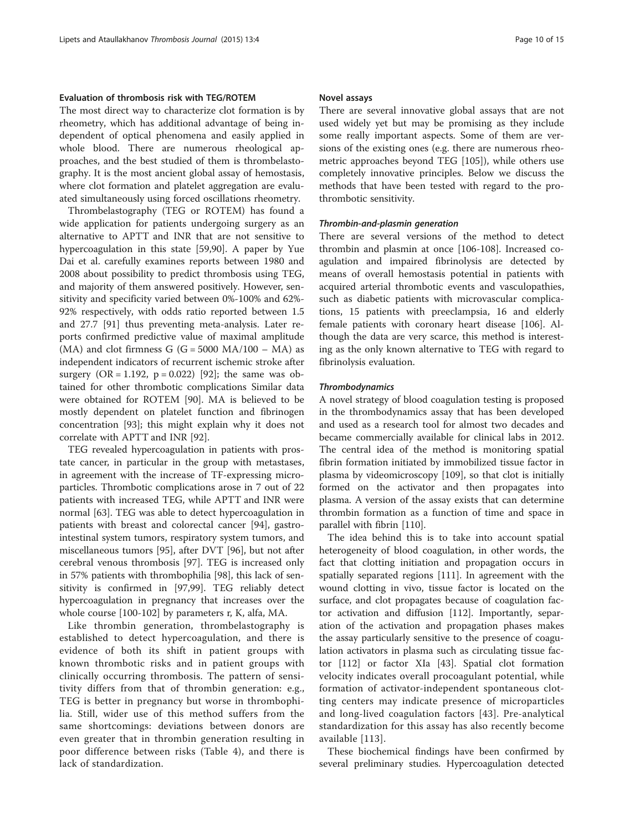#### Evaluation of thrombosis risk with TEG/ROTEM

The most direct way to characterize clot formation is by rheometry, which has additional advantage of being independent of optical phenomena and easily applied in whole blood. There are numerous rheological approaches, and the best studied of them is thrombelastography. It is the most ancient global assay of hemostasis, where clot formation and platelet aggregation are evaluated simultaneously using forced oscillations rheometry.

Thrombelastography (TEG or ROTEM) has found a wide application for patients undergoing surgery as an alternative to APTT and INR that are not sensitive to hypercoagulation in this state [[59,90\]](#page-13-0). A paper by Yue Dai et al. carefully examines reports between 1980 and 2008 about possibility to predict thrombosis using TEG, and majority of them answered positively. However, sensitivity and specificity varied between 0%-100% and 62%- 92% respectively, with odds ratio reported between 1.5 and 27.7 [[91](#page-14-0)] thus preventing meta-analysis. Later reports confirmed predictive value of maximal amplitude  $(MA)$  and clot firmness G  $(G = 5000 MA/100 - MA)$  as independent indicators of recurrent ischemic stroke after surgery  $(OR = 1.192, p = 0.022)$  [\[92\]](#page-14-0); the same was obtained for other thrombotic complications Similar data were obtained for ROTEM [\[90](#page-13-0)]. MA is believed to be mostly dependent on platelet function and fibrinogen concentration [\[93\]](#page-14-0); this might explain why it does not correlate with APTT and INR [[92\]](#page-14-0).

TEG revealed hypercoagulation in patients with prostate cancer, in particular in the group with metastases, in agreement with the increase of TF-expressing microparticles. Thrombotic complications arose in 7 out of 22 patients with increased TEG, while APTT and INR were normal [\[63](#page-13-0)]. TEG was able to detect hypercoagulation in patients with breast and colorectal cancer [\[94](#page-14-0)], gastrointestinal system tumors, respiratory system tumors, and miscellaneous tumors [[95](#page-14-0)], after DVT [[96\]](#page-14-0), but not after cerebral venous thrombosis [\[97](#page-14-0)]. TEG is increased only in 57% patients with thrombophilia [\[98](#page-14-0)], this lack of sensitivity is confirmed in [[97,99](#page-14-0)]. TEG reliably detect hypercoagulation in pregnancy that increases over the whole course [[100-102\]](#page-14-0) by parameters r, K, alfa, MA.

Like thrombin generation, thrombelastography is established to detect hypercoagulation, and there is evidence of both its shift in patient groups with known thrombotic risks and in patient groups with clinically occurring thrombosis. The pattern of sensitivity differs from that of thrombin generation: e.g., TEG is better in pregnancy but worse in thrombophilia. Still, wider use of this method suffers from the same shortcomings: deviations between donors are even greater that in thrombin generation resulting in poor difference between risks (Table [4](#page-10-0)), and there is lack of standardization.

#### Novel assays

There are several innovative global assays that are not used widely yet but may be promising as they include some really important aspects. Some of them are versions of the existing ones (e.g. there are numerous rheometric approaches beyond TEG [[105](#page-14-0)]), while others use completely innovative principles. Below we discuss the methods that have been tested with regard to the prothrombotic sensitivity.

#### Thrombin-and-plasmin generation

There are several versions of the method to detect thrombin and plasmin at once [\[106-108](#page-14-0)]. Increased coagulation and impaired fibrinolysis are detected by means of overall hemostasis potential in patients with acquired arterial thrombotic events and vasculopathies, such as diabetic patients with microvascular complications, 15 patients with preeclampsia, 16 and elderly female patients with coronary heart disease [\[106](#page-14-0)]. Although the data are very scarce, this method is interesting as the only known alternative to TEG with regard to fibrinolysis evaluation.

#### **Thrombodynamics**

A novel strategy of blood coagulation testing is proposed in the thrombodynamics assay that has been developed and used as a research tool for almost two decades and became commercially available for clinical labs in 2012. The central idea of the method is monitoring spatial fibrin formation initiated by immobilized tissue factor in plasma by videomicroscopy [[109\]](#page-14-0), so that clot is initially formed on the activator and then propagates into plasma. A version of the assay exists that can determine thrombin formation as a function of time and space in parallel with fibrin [[110](#page-14-0)].

The idea behind this is to take into account spatial heterogeneity of blood coagulation, in other words, the fact that clotting initiation and propagation occurs in spatially separated regions [[111\]](#page-14-0). In agreement with the wound clotting in vivo, tissue factor is located on the surface, and clot propagates because of coagulation factor activation and diffusion [\[112\]](#page-14-0). Importantly, separation of the activation and propagation phases makes the assay particularly sensitive to the presence of coagulation activators in plasma such as circulating tissue factor [\[112](#page-14-0)] or factor XIa [[43](#page-12-0)]. Spatial clot formation velocity indicates overall procoagulant potential, while formation of activator-independent spontaneous clotting centers may indicate presence of microparticles and long-lived coagulation factors [[43\]](#page-12-0). Pre-analytical standardization for this assay has also recently become available [[113\]](#page-14-0).

These biochemical findings have been confirmed by several preliminary studies. Hypercoagulation detected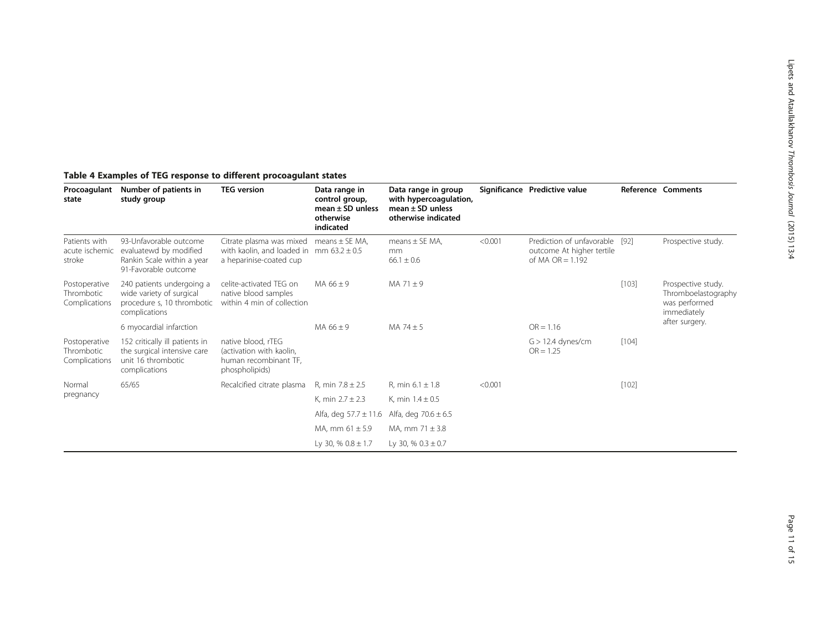| Procoagulant<br>state                        | Number of patients in<br>study group                                                                   | <b>TEG</b> version                                                                                  | Data range in<br>control group,<br>$mean \pm SD$ unless<br>otherwise<br>indicated | Data range in group<br>with hypercoagulation,<br>mean $\pm$ SD unless<br>otherwise indicated |                      | Significance Predictive value                                                |         | Reference Comments                                                        |  |
|----------------------------------------------|--------------------------------------------------------------------------------------------------------|-----------------------------------------------------------------------------------------------------|-----------------------------------------------------------------------------------|----------------------------------------------------------------------------------------------|----------------------|------------------------------------------------------------------------------|---------|---------------------------------------------------------------------------|--|
| Patients with<br>acute ischemic<br>stroke    | 93-Unfavorable outcome<br>evaluatewd by modified<br>Rankin Scale within a year<br>91-Favorable outcome | Citrate plasma was mixed<br>with kaolin, and loaded in mm $63.2 \pm 0.5$<br>a heparinise-coated cup | means ± SE MA.                                                                    | means $\pm$ SE MA,<br>mm<br>$66.1 \pm 0.6$                                                   | < 0.001              | Prediction of unfavorable<br>outcome At higher tertile<br>of MA $OR = 1.192$ | [92]    | Prospective study.                                                        |  |
| Postoperative<br>Thrombotic<br>Complications | 240 patients undergoing a<br>wide variety of surgical<br>procedure s, 10 thrombotic<br>complications   | celite-activated TFG on<br>native blood samples<br>within 4 min of collection                       | $MA 66 + 9$                                                                       | MA 71 $\pm$ 9                                                                                |                      |                                                                              | $[103]$ | Prospective study.<br>Thromboelastography<br>was performed<br>immediately |  |
|                                              | 6 myocardial infarction                                                                                |                                                                                                     | MA $66 \pm 9$                                                                     | $MA$ 74 $\pm$ 5                                                                              |                      | $OR = 1.16$                                                                  |         | after surgery.                                                            |  |
| Postoperative<br>Thrombotic<br>Complications | 152 critically ill patients in<br>the surgical intensive care<br>unit 16 thrombotic<br>complications   | native blood, rTEG<br>(activation with kaolin,<br>human recombinant TF.<br>phospholipids)           |                                                                                   |                                                                                              |                      | $G > 12.4$ dynes/cm<br>$OR = 1.25$                                           | $[104]$ |                                                                           |  |
| Normal                                       | 65/65                                                                                                  |                                                                                                     | Recalcified citrate plasma                                                        | R. min $7.8 \pm 2.5$                                                                         | R. min $6.1 \pm 1.8$ | < 0.001                                                                      |         | $[102]$                                                                   |  |
| pregnancy                                    |                                                                                                        |                                                                                                     | K, min $2.7 \pm 2.3$                                                              | K, min $1.4 \pm 0.5$                                                                         |                      |                                                                              |         |                                                                           |  |
|                                              |                                                                                                        |                                                                                                     | Alfa, deg $57.7 \pm 11.6$                                                         | Alfa, deg $70.6 \pm 6.5$                                                                     |                      |                                                                              |         |                                                                           |  |
|                                              |                                                                                                        |                                                                                                     | MA, mm $61 \pm 5.9$                                                               | MA, mm $71 \pm 3.8$                                                                          |                      |                                                                              |         |                                                                           |  |
|                                              |                                                                                                        |                                                                                                     | Ly 30, % $0.8 \pm 1.7$                                                            | Ly 30, % $0.3 \pm 0.7$                                                                       |                      |                                                                              |         |                                                                           |  |

# <span id="page-10-0"></span>Table 4 Examples of TEG response to different procoagulant states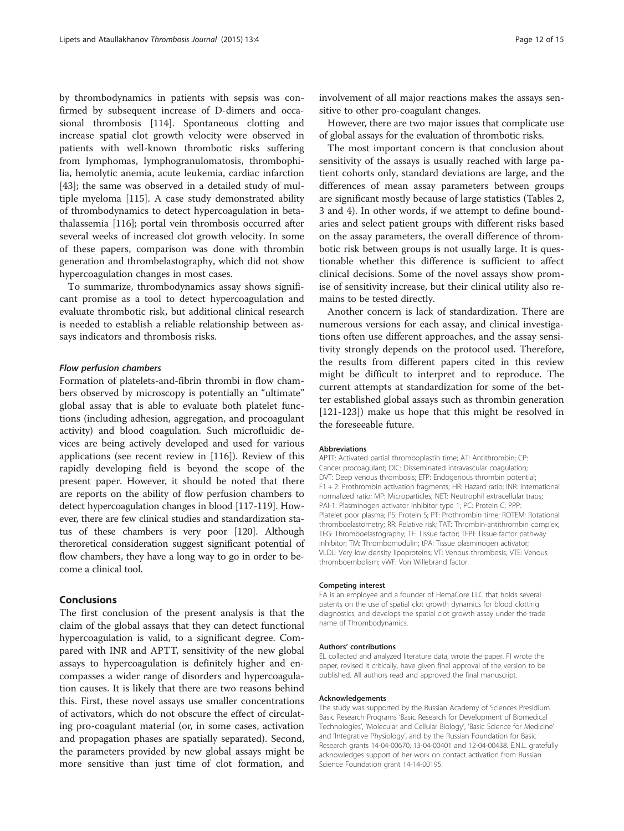by thrombodynamics in patients with sepsis was confirmed by subsequent increase of D-dimers and occasional thrombosis [\[114](#page-14-0)]. Spontaneous clotting and increase spatial clot growth velocity were observed in patients with well-known thrombotic risks suffering from lymphomas, lymphogranulomatosis, thrombophilia, hemolytic anemia, acute leukemia, cardiac infarction [[43\]](#page-12-0); the same was observed in a detailed study of multiple myeloma [\[115\]](#page-14-0). A case study demonstrated ability of thrombodynamics to detect hypercoagulation in betathalassemia [[116](#page-14-0)]; portal vein thrombosis occurred after several weeks of increased clot growth velocity. In some of these papers, comparison was done with thrombin generation and thrombelastography, which did not show hypercoagulation changes in most cases.

To summarize, thrombodynamics assay shows significant promise as a tool to detect hypercoagulation and evaluate thrombotic risk, but additional clinical research is needed to establish a reliable relationship between assays indicators and thrombosis risks.

#### Flow perfusion chambers

Formation of platelets-and-fibrin thrombi in flow chambers observed by microscopy is potentially an "ultimate" global assay that is able to evaluate both platelet functions (including adhesion, aggregation, and procoagulant activity) and blood coagulation. Such microfluidic devices are being actively developed and used for various applications (see recent review in [[116\]](#page-14-0)). Review of this rapidly developing field is beyond the scope of the present paper. However, it should be noted that there are reports on the ability of flow perfusion chambers to detect hypercoagulation changes in blood [[117](#page-14-0)-[119](#page-14-0)]. However, there are few clinical studies and standardization status of these chambers is very poor [[120](#page-14-0)]. Although theroretical consideration suggest significant potential of flow chambers, they have a long way to go in order to become a clinical tool.

### Conclusions

The first conclusion of the present analysis is that the claim of the global assays that they can detect functional hypercoagulation is valid, to a significant degree. Compared with INR and APTT, sensitivity of the new global assays to hypercoagulation is definitely higher and encompasses a wider range of disorders and hypercoagulation causes. It is likely that there are two reasons behind this. First, these novel assays use smaller concentrations of activators, which do not obscure the effect of circulating pro-coagulant material (or, in some cases, activation and propagation phases are spatially separated). Second, the parameters provided by new global assays might be more sensitive than just time of clot formation, and involvement of all major reactions makes the assays sensitive to other pro-coagulant changes.

However, there are two major issues that complicate use of global assays for the evaluation of thrombotic risks.

The most important concern is that conclusion about sensitivity of the assays is usually reached with large patient cohorts only, standard deviations are large, and the differences of mean assay parameters between groups are significant mostly because of large statistics (Tables [2](#page-4-0), [3](#page-6-0) and [4\)](#page-10-0). In other words, if we attempt to define boundaries and select patient groups with different risks based on the assay parameters, the overall difference of thrombotic risk between groups is not usually large. It is questionable whether this difference is sufficient to affect clinical decisions. Some of the novel assays show promise of sensitivity increase, but their clinical utility also remains to be tested directly.

Another concern is lack of standardization. There are numerous versions for each assay, and clinical investigations often use different approaches, and the assay sensitivity strongly depends on the protocol used. Therefore, the results from different papers cited in this review might be difficult to interpret and to reproduce. The current attempts at standardization for some of the better established global assays such as thrombin generation [[121-123\]](#page-14-0)) make us hope that this might be resolved in the foreseeable future.

#### Abbreviations

APTT: Activated partial thromboplastin time; AT: Antithrombin; CP: Cancer procoagulant; DIC: Disseminated intravascular coagulation; DVT: Deep venous thrombosis; ETP: Endogenous thrombin potential; F1 + 2: Prothrombin activation fragments; HR: Hazard ratio; INR: International normalized ratio; MP: Microparticles; NET: Neutrophil extracellular traps; PAI-1: Plasminogen activator inhibitor type 1; PC: Protein C; PPP: Platelet poor plasma; PS: Protein S; PT: Prothrombin time; ROTEM: Rotational thromboelastometry; RR: Relative risk; TAT: Thrombin-antithrombin complex; TEG: Thromboelastography; TF: Tissue factor; TFPI: Tissue factor pathway inhibitor; TM: Thrombomodulin; tPA: Tissue plasminogen activator; VLDL: Very low density lipoproteins; VT: Venous thrombosis; VTE: Venous thromboembolism; vWF: Von Willebrand factor.

#### Competing interest

FA is an employee and a founder of HemaCore LLC that holds several patents on the use of spatial clot growth dynamics for blood clotting diagnostics, and develops the spatial clot growth assay under the trade name of Thrombodynamics.

#### Authors' contributions

EL collected and analyzed literature data, wrote the paper. FI wrote the paper, revised it critically, have given final approval of the version to be published. All authors read and approved the final manuscript.

#### Acknowledgements

The study was supported by the Russian Academy of Sciences Presidium Basic Research Programs 'Basic Research for Development of Biomedical Technologies', 'Molecular and Cellular Biology', 'Basic Science for Medicine' and 'Integrative Physiology', and by the Russian Foundation for Basic Research grants 14-04-00670, 13-04-00401 and 12-04-00438. E.N.L. gratefully acknowledges support of her work on contact activation from Russian Science Foundation grant 14-14-00195.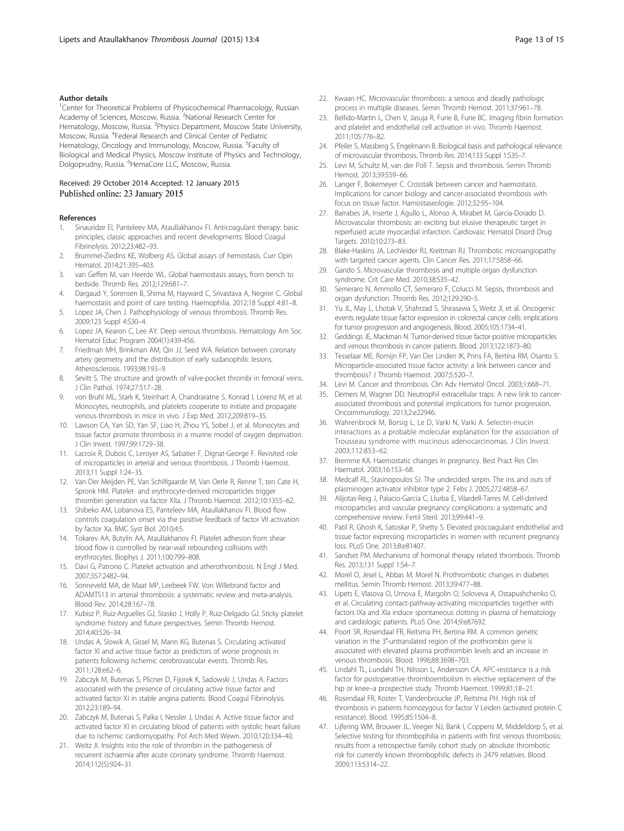<span id="page-12-0"></span><sup>1</sup>Center for Theoretical Problems of Physicochemical Pharmacology, Russian Academy of Sciences, Moscow, Russia. <sup>2</sup>National Research Center for Hematology, Moscow, Russia. <sup>3</sup>Physics Department, Moscow State University, Moscow, Russia. <sup>4</sup>Federal Research and Clinical Center of Pediatric Hematology, Oncology and Immunology, Moscow, Russia. <sup>5</sup>Faculty of Biological and Medical Physics, Moscow Institute of Physics and Technology, Dolgoprudny, Russia. <sup>6</sup>HemaCore LLC, Moscow, Russia.

#### Received: 29 October 2014 Accepted: 12 January 2015 Published online: 23 January 2015

#### References

- 1. Sinauridze EI, Panteleev MA, Ataullakhanov FI. Anticoagulant therapy: basic principles, classic approaches and recent developments. Blood Coagul Fibrinolysis. 2012;23:482–93.
- 2. Brummel-Ziedins KE, Wolberg AS. Global assays of hemostasis. Curr Opin Hematol. 2014;21:395–403.
- 3. van Geffen M, van Heerde WL. Global haemostasis assays, from bench to bedside. Thromb Res. 2012;129:681–7.
- 4. Dargaud Y, Sorensen B, Shima M, Hayward C, Srivastava A, Negrier C. Global haemostasis and point of care testing. Haemophilia. 2012;18 Suppl 4:81–8.
- 5. Lopez JA, Chen J. Pathophysiology of venous thrombosis. Thromb Res. 2009;123 Suppl 4:S30–4.
- 6. Lopez JA, Kearon C, Lee AY. Deep venous thrombosis. Hematology Am Soc Hematol Educ Program 2004(1):439-456.
- 7. Friedman MH, Brinkman AM, Qin JJ, Seed WA. Relation between coronary artery geometry and the distribution of early sudanophilic lesions. Atherosclerosis. 1993;98:193–9.
- 8. Sevitt S. The structure and growth of valve-pocket thrombi in femoral veins. J Clin Pathol. 1974;27:517–28.
- 9. von Bruhl ML, Stark K, Steinhart A, Chandraratne S, Konrad I, Lorenz M, et al. Monocytes, neutrophils, and platelets cooperate to initiate and propagate venous thrombosis in mice in vivo. J Exp Med. 2012;209:819–35.
- 10. Lawson CA, Yan SD, Yan SF, Liao H, Zhou YS, Sobel J, et al. Monocytes and tissue factor promote thrombosis in a murine model of oxygen deprivation. J Clin Invest. 1997;99:1729–38.
- 11. Lacroix R, Dubois C, Leroyer AS, Sabatier F, Dignat-George F. Revisited role of microparticles in arterial and venous thrombosis. J Thromb Haemost. 2013;11 Suppl 1:24–35.
- 12. Van Der Meijden PE, Van Schilfgaarde M, Van Oerle R, Renne T, ten Cate H, Spronk HM. Platelet- and erythrocyte-derived microparticles trigger thrombin generation via factor XIIa. J Thromb Haemost. 2012;10:1355–62.
- 13. Shibeko AM, Lobanova ES, Panteleev MA, Ataullakhanov FI. Blood flow controls coagulation onset via the positive feedback of factor VII activation by factor Xa. BMC Syst Biol. 2010;4:5.
- 14. Tokarev AA, Butylin AA, Ataullakhanov FI. Platelet adhesion from shear blood flow is controlled by near-wall rebounding collisions with erythrocytes. Biophys J. 2011;100:799–808.
- 15. Davi G, Patrono C. Platelet activation and atherothrombosis. N Engl J Med. 2007;357:2482–94.
- 16. Sonneveld MA, de Maat MP, Leebeek FW. Von Willebrand factor and ADAMTS13 in arterial thrombosis: a systematic review and meta-analysis. Blood Rev. 2014;28:167–78.
- 17. Kubisz P, Ruiz-Arguelles GJ, Stasko J, Holly P, Ruiz-Delgado GJ. Sticky platelet syndrome: history and future perspectives. Semin Thromb Hemost. 2014;40:526–34.
- 18. Undas A, Slowik A, Gissel M, Mann KG, Butenas S. Circulating activated factor XI and active tissue factor as predictors of worse prognosis in patients following ischemic cerebrovascular events. Thromb Res. 2011;128:e62–6.
- 19. Zabczyk M, Butenas S, Plicner D, Fijorek K, Sadowski J, Undas A. Factors associated with the presence of circulating active tissue factor and activated factor XI in stable angina patients. Blood Coagul Fibrinolysis. 2012;23:189–94.
- 20. Zabczyk M, Butenas S, Palka I, Nessler J, Undas A. Active tissue factor and activated factor XI in circulating blood of patients with systolic heart failure due to ischemic cardiomyopathy. Pol Arch Med Wewn. 2010;120:334–40.
- 21. Weitz JI. Insights into the role of thrombin in the pathogenesis of recurrent ischaemia after acute coronary syndrome. Thromb Haemost. 2014;112(5):924–31.
- 22. Kwaan HC. Microvascular thrombosis: a serious and deadly pathologic process in multiple diseases. Semin Thromb Hemost. 2011;37:961–78.
- 23. Bellido-Martin L, Chen V, Jasuja R, Furie B, Furie BC. Imaging fibrin formation and platelet and endothelial cell activation in vivo. Thromb Haemost. 2011;105:776–82.
- 24. Pfeiler S, Massberg S, Engelmann B. Biological basis and pathological relevance of microvascular thrombosis. Thromb Res. 2014;133 Suppl 1:S35–7.
- 25. Levi M, Schultz M, van der Poll T. Sepsis and thrombosis. Semin Thromb Hemost. 2013;39:559–66.
- 26. Langer F, Bokemeyer C. Crosstalk between cancer and haemostasis. Implications for cancer biology and cancer-associated thrombosis with focus on tissue factor. Hamostaseologie. 2012;32:95–104.
- 27. Barrabes JA, Inserte J, Agullo L, Alonso A, Mirabet M, Garcia-Dorado D. Microvascular thrombosis: an exciting but elusive therapeutic target in reperfused acute myocardial infarction. Cardiovasc Hematol Disord Drug Targets. 2010;10:273–83.
- 28. Blake-Haskins JA, Lechleider RJ, Kreitman RJ. Thrombotic microangiopathy with targeted cancer agents. Clin Cancer Res. 2011;17:5858–66.
- 29. Gando S. Microvascular thrombosis and multiple organ dysfunction syndrome. Crit Care Med. 2010;38:S35–42.
- 30. Semeraro N, Ammollo CT, Semeraro F, Colucci M. Sepsis, thrombosis and organ dysfunction. Thromb Res. 2012;129:290–5.
- 31. Yu JL, May L, Lhotak V, Shahrzad S, Shirasawa S, Weitz JI, et al. Oncogenic events regulate tissue factor expression in colorectal cancer cells: implications for tumor progression and angiogenesis. Blood. 2005;105:1734–41.
- 32. Geddings JE, Mackman N. Tumor-derived tissue factor-positive microparticles and venous thrombosis in cancer patients. Blood. 2013;122:1873–80.
- 33. Tesselaar ME, Romijn FP, Van Der Linden IK, Prins FA, Bertina RM, Osanto S. Microparticle-associated tissue factor activity: a link between cancer and thrombosis? J Thromb Haemost. 2007;5:520–7.
- 34. Levi M. Cancer and thrombosis. Clin Adv Hematol Oncol. 2003;1:668–71.
- 35. Demers M, Wagner DD. Neutrophil extracellular traps: A new link to cancerassociated thrombosis and potential implications for tumor progression. Oncoimmunology. 2013;2:e22946.
- 36. Wahrenbrock M, Borsig L, Le D, Varki N, Varki A. Selectin-mucin interactions as a probable molecular explanation for the association of Trousseau syndrome with mucinous adenocarcinomas. J Clin Invest. 2003;112:853–62.
- 37. Bremme KA. Haemostatic changes in pregnancy. Best Pract Res Clin Haematol. 2003;16:153–68.
- 38. Medcalf RL, Stasinopoulos SJ. The undecided serpin. The ins and outs of plasminogen activator inhibitor type 2. Febs J. 2005;272:4858–67.
- 39. Alijotas-Reig J, Palacio-Garcia C, Llurba E, Vilardell-Tarres M. Cell-derived microparticles and vascular pregnancy complications: a systematic and comprehensive review. Fertil Steril. 2013;99:441–9.
- 40. Patil R, Ghosh K, Satoskar P, Shetty S. Elevated procoagulant endothelial and tissue factor expressing microparticles in women with recurrent pregnancy loss. PLoS One. 2013;8:e81407.
- 41. Sandset PM. Mechanisms of hormonal therapy related thrombosis. Thromb Res. 2013;131 Suppl 1:S4–7.
- 42. Morel O, Jesel L, Abbas M, Morel N. Prothrombotic changes in diabetes mellitus. Semin Thromb Hemost. 2013;39:477–88.
- 43. Lipets E, Vlasova O, Urnova E, Margolin O, Soloveva A, Ostapushchenko O, et al. Circulating contact-pathway-activating microparticles together with factors IXa and XIa induce spontaneous clotting in plasma of hematology and cardiologic patients. PLoS One. 2014;9:e87692.
- 44. Poort SR, Rosendaal FR, Reitsma PH, Bertina RM. A common genetic variation in the 3′-untranslated region of the prothrombin gene is associated with elevated plasma prothrombin levels and an increase in venous thrombosis. Blood. 1996;88:3698–703.
- 45. Lindahl TL, Lundahl TH, Nilsson L, Andersson CA. APC-resistance is a risk factor for postoperative thromboembolism in elective replacement of the hip or knee–a prospective study. Thromb Haemost. 1999;81:18–21.
- 46. Rosendaal FR, Koster T, Vandenbroucke JP, Reitsma PH. High risk of thrombosis in patients homozygous for factor V Leiden (activated protein C resistance). Blood. 1995;85:1504–8.
- 47. Lijfering WM, Brouwer JL, Veeger NJ, Bank I, Coppens M, Middeldorp S, et al. Selective testing for thrombophilia in patients with first venous thrombosis: results from a retrospective family cohort study on absolute thrombotic risk for currently known thrombophilic defects in 2479 relatives. Blood. 2009;113:5314–22.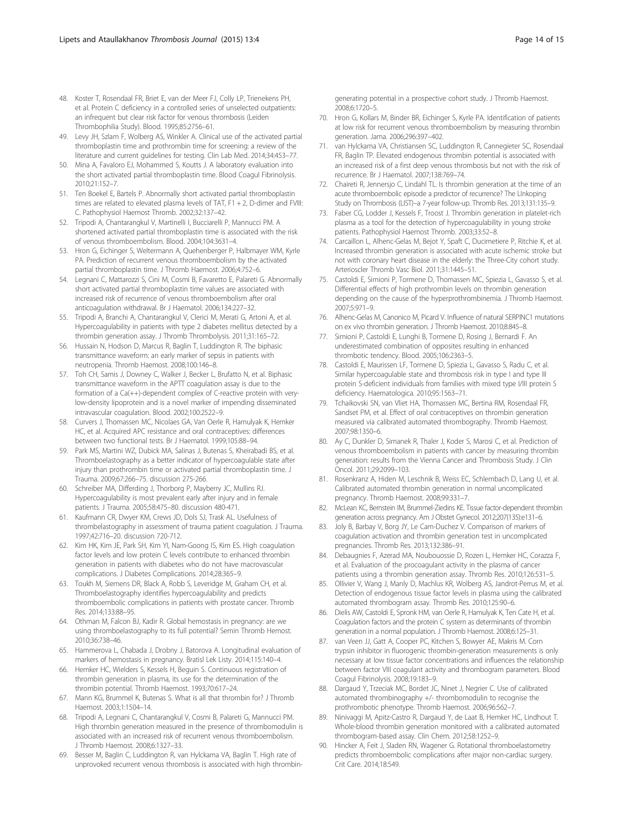- <span id="page-13-0"></span>48. Koster T, Rosendaal FR, Briet E, van der Meer FJ, Colly LP, Trienekens PH, et al. Protein C deficiency in a controlled series of unselected outpatients: an infrequent but clear risk factor for venous thrombosis (Leiden Thrombophilia Study). Blood. 1995;85:2756–61.
- 49. Levy JH, Szlam F, Wolberg AS, Winkler A. Clinical use of the activated partial thromboplastin time and prothrombin time for screening: a review of the literature and current guidelines for testing. Clin Lab Med. 2014;34:453–77.
- 50. Mina A, Favaloro EJ, Mohammed S, Koutts J. A laboratory evaluation into the short activated partial thromboplastin time. Blood Coagul Fibrinolysis. 2010;21:152–7.
- 51. Ten Boekel E, Bartels P. Abnormally short activated partial thromboplastin times are related to elevated plasma levels of TAT, F1 + 2, D-dimer and FVIII: C. Pathophysiol Haemost Thromb. 2002;32:137–42.
- 52. Tripodi A, Chantarangkul V, Martinelli I, Bucciarelli P, Mannucci PM. A shortened activated partial thromboplastin time is associated with the risk of venous thromboembolism. Blood. 2004;104:3631–4.
- 53. Hron G, Eichinger S, Weltermann A, Quehenberger P, Halbmayer WM, Kyrle PA. Prediction of recurrent venous thromboembolism by the activated partial thromboplastin time. J Thromb Haemost. 2006;4:752–6.
- 54. Legnani C, Mattarozzi S, Cini M, Cosmi B, Favaretto E, Palareti G. Abnormally short activated partial thromboplastin time values are associated with increased risk of recurrence of venous thromboembolism after oral anticoagulation withdrawal. Br J Haematol. 2006;134:227–32.
- 55. Tripodi A, Branchi A, Chantarangkul V, Clerici M, Merati G, Artoni A, et al. Hypercoagulability in patients with type 2 diabetes mellitus detected by a thrombin generation assay. J Thromb Thrombolysis. 2011;31:165–72.
- 56. Hussain N, Hodson D, Marcus R, Baglin T, Luddington R. The biphasic transmittance waveform: an early marker of sepsis in patients with neutropenia. Thromb Haemost. 2008;100:146–8.
- 57. Toh CH, Samis J, Downey C, Walker J, Becker L, Brufatto N, et al. Biphasic transmittance waveform in the APTT coagulation assay is due to the formation of a Ca(++)-dependent complex of C-reactive protein with verylow-density lipoprotein and is a novel marker of impending disseminated intravascular coagulation. Blood. 2002;100:2522–9.
- 58. Curvers J, Thomassen MC, Nicolaes GA, Van Oerle R, Hamulyak K, Hemker HC, et al. Acquired APC resistance and oral contraceptives: differences between two functional tests. Br J Haematol. 1999;105:88–94.
- 59. Park MS, Martini WZ, Dubick MA, Salinas J, Butenas S, Kheirabadi BS, et al. Thromboelastography as a better indicator of hypercoagulable state after injury than prothrombin time or activated partial thromboplastin time. J Trauma. 2009;67:266–75. discussion 275-266.
- 60. Schreiber MA, Differding J, Thorborg P, Mayberry JC, Mullins RJ. Hypercoagulability is most prevalent early after injury and in female patients. J Trauma. 2005;58:475–80. discussion 480-471.
- 61. Kaufmann CR, Dwyer KM, Crews JD, Dols SJ, Trask AL. Usefulness of thrombelastography in assessment of trauma patient coagulation. J Trauma. 1997;42:716–20. discussion 720-712.
- 62. Kim HK, Kim JE, Park SH, Kim YI, Nam-Goong IS, Kim ES. High coagulation factor levels and low protein C levels contribute to enhanced thrombin generation in patients with diabetes who do not have macrovascular complications. J Diabetes Complications. 2014;28:365–9.
- 63. Toukh M, Siemens DR, Black A, Robb S, Leveridge M, Graham CH, et al. Thromboelastography identifies hypercoagulability and predicts thromboembolic complications in patients with prostate cancer. Thromb Res. 2014;133:88–95.
- 64. Othman M, Falcon BJ, Kadir R. Global hemostasis in pregnancy: are we using thromboelastography to its full potential? Semin Thromb Hemost. 2010;36:738–46.
- 65. Hammerova L, Chabada J, Drobny J, Batorova A. Longitudinal evaluation of markers of hemostasis in pregnancy. Bratisl Lek Listy. 2014;115:140–4.
- 66. Hemker HC, Wielders S, Kessels H, Beguin S. Continuous registration of thrombin generation in plasma, its use for the determination of the thrombin potential. Thromb Haemost. 1993;70:617–24.
- 67. Mann KG, Brummel K, Butenas S. What is all that thrombin for? J Thromb Haemost. 2003;1:1504–14.
- 68. Tripodi A, Legnani C, Chantarangkul V, Cosmi B, Palareti G, Mannucci PM. High thrombin generation measured in the presence of thrombomodulin is associated with an increased risk of recurrent venous thromboembolism. J Thromb Haemost. 2008;6:1327–33.
- 69. Besser M, Baglin C, Luddington R, van Hylckama VA, Baglin T. High rate of unprovoked recurrent venous thrombosis is associated with high thrombin-

generating potential in a prospective cohort study. J Thromb Haemost. 2008;6:1720–5.

- 70. Hron G, Kollars M, Binder BR, Eichinger S, Kyrle PA. Identification of patients at low risk for recurrent venous thromboembolism by measuring thrombin generation. Jama. 2006;296:397–402.
- 71. van Hylckama VA, Christiansen SC, Luddington R, Cannegieter SC, Rosendaal FR, Baglin TP. Elevated endogenous thrombin potential is associated with an increased risk of a first deep venous thrombosis but not with the risk of recurrence. Br J Haematol. 2007;138:769–74.
- 72. Chaireti R, Jennersjo C, Lindahl TL. Is thrombin generation at the time of an acute thromboembolic episode a predictor of recurrence? The LInkoping Study on Thrombosis (LIST)–a 7-year follow-up. Thromb Res. 2013;131:135–9.
- 73. Faber CG, Lodder J, Kessels F, Troost J. Thrombin generation in platelet-rich plasma as a tool for the detection of hypercoagulability in young stroke patients. Pathophysiol Haemost Thromb. 2003;33:52–8.
- 74. Carcaillon L, Alhenc-Gelas M, Bejot Y, Spaft C, Ducimetiere P, Ritchie K, et al. Increased thrombin generation is associated with acute ischemic stroke but not with coronary heart disease in the elderly: the Three-City cohort study. Arterioscler Thromb Vasc Biol. 2011;31:1445–51.
- 75. Castoldi E, Simioni P, Tormene D, Thomassen MC, Spiezia L, Gavasso S, et al. Differential effects of high prothrombin levels on thrombin generation depending on the cause of the hyperprothrombinemia. J Thromb Haemost. 2007;5:971–9.
- 76. Alhenc-Gelas M, Canonico M, Picard V. Influence of natural SERPINC1 mutations on ex vivo thrombin generation. J Thromb Haemost. 2010;8:845–8.
- 77. Simioni P, Castoldi E, Lunghi B, Tormene D, Rosing J, Bernardi F. An underestimated combination of opposites resulting in enhanced thrombotic tendency. Blood. 2005;106:2363–5.
- Castoldi E, Maurissen LF, Tormene D, Spiezia L, Gavasso S, Radu C, et al. Similar hypercoagulable state and thrombosis risk in type I and type III protein S-deficient individuals from families with mixed type I/III protein S deficiency. Haematologica. 2010;95:1563–71.
- 79. Tchaikovski SN, van Vliet HA, Thomassen MC, Bertina RM, Rosendaal FR, Sandset PM, et al. Effect of oral contraceptives on thrombin generation measured via calibrated automated thrombography. Thromb Haemost. 2007;98:1350–6.
- 80. Ay C, Dunkler D, Simanek R, Thaler J, Koder S, Marosi C, et al. Prediction of venous thromboembolism in patients with cancer by measuring thrombin generation: results from the Vienna Cancer and Thrombosis Study. J Clin Oncol. 2011;29:2099–103.
- 81. Rosenkranz A, Hiden M, Leschnik B, Weiss EC, Schlembach D, Lang U, et al. Calibrated automated thrombin generation in normal uncomplicated pregnancy. Thromb Haemost. 2008;99:331–7.
- 82. McLean KC, Bernstein IM, Brummel-Ziedins KE. Tissue factor-dependent thrombin generation across pregnancy. Am J Obstet Gynecol. 2012;207(135):e131–6.
- 83. Joly B, Barbay V, Borg JY, Le Cam-Duchez V. Comparison of markers of coagulation activation and thrombin generation test in uncomplicated pregnancies. Thromb Res. 2013;132:386–91.
- 84. Debaugnies F, Azerad MA, Noubouossie D, Rozen L, Hemker HC, Corazza F, et al. Evaluation of the procoagulant activity in the plasma of cancer patients using a thrombin generation assay. Thromb Res. 2010;126:531–5.
- 85. Ollivier V, Wang J, Manly D, Machlus KR, Wolberg AS, Jandrot-Perrus M, et al. Detection of endogenous tissue factor levels in plasma using the calibrated automated thrombogram assay. Thromb Res. 2010;125:90–6.
- 86. Dielis AW, Castoldi E, Spronk HM, van Oerle R, Hamulyak K, Ten Cate H, et al. Coagulation factors and the protein C system as determinants of thrombin generation in a normal population. J Thromb Haemost. 2008;6:125–31.
- 87. van Veen JJ, Gatt A, Cooper PC, Kitchen S, Bowyer AE, Makris M. Corn trypsin inhibitor in fluorogenic thrombin-generation measurements is only necessary at low tissue factor concentrations and influences the relationship between factor VIII coagulant activity and thrombogram parameters. Blood Coagul Fibrinolysis. 2008;19:183–9.
- 88. Dargaud Y, Trzeciak MC, Bordet JC, Ninet J, Negrier C. Use of calibrated automated thrombinography +/- thrombomodulin to recognise the prothrombotic phenotype. Thromb Haemost. 2006;96:562–7.
- 89. Ninivaggi M, Apitz-Castro R, Dargaud Y, de Laat B, Hemker HC, Lindhout T. Whole-blood thrombin generation monitored with a calibrated automated thrombogram-based assay. Clin Chem. 2012;58:1252–9.
- 90. Hincker A, Feit J, Sladen RN, Wagener G. Rotational thromboelastometry predicts thromboembolic complications after major non-cardiac surgery. Crit Care. 2014;18:549.